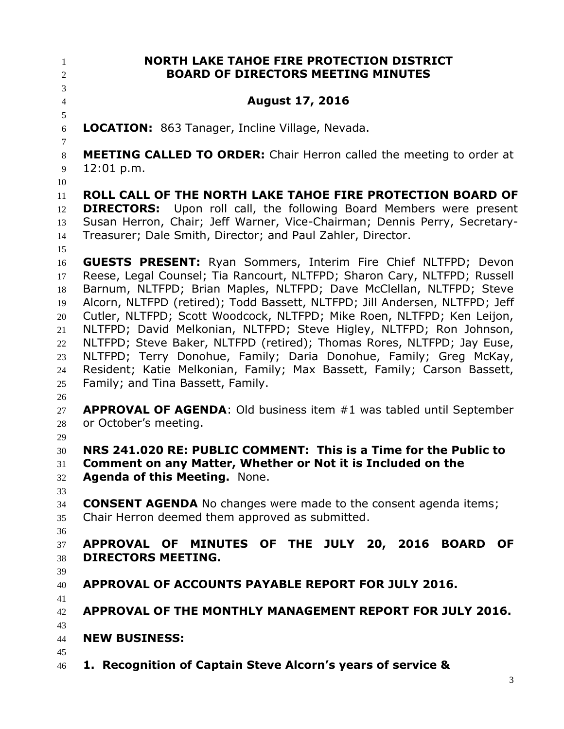**NORTH LAKE TAHOE FIRE PROTECTION DISTRICT BOARD OF DIRECTORS MEETING MINUTES August 17, 2016 LOCATION:** 863 Tanager, Incline Village, Nevada. **MEETING CALLED TO ORDER:** Chair Herron called the meeting to order at 12:01 p.m. **ROLL CALL OF THE NORTH LAKE TAHOE FIRE PROTECTION BOARD OF DIRECTORS:** Upon roll call, the following Board Members were present Susan Herron, Chair; Jeff Warner, Vice-Chairman; Dennis Perry, Secretary- Treasurer; Dale Smith, Director; and Paul Zahler, Director. **GUESTS PRESENT:** Ryan Sommers, Interim Fire Chief NLTFPD; Devon Reese, Legal Counsel; Tia Rancourt, NLTFPD; Sharon Cary, NLTFPD; Russell Barnum, NLTFPD; Brian Maples, NLTFPD; Dave McClellan, NLTFPD; Steve Alcorn, NLTFPD (retired); Todd Bassett, NLTFPD; Jill Andersen, NLTFPD; Jeff Cutler, NLTFPD; Scott Woodcock, NLTFPD; Mike Roen, NLTFPD; Ken Leijon, NLTFPD; David Melkonian, NLTFPD; Steve Higley, NLTFPD; Ron Johnson, NLTFPD; Steve Baker, NLTFPD (retired); Thomas Rores, NLTFPD; Jay Euse, NLTFPD; Terry Donohue, Family; Daria Donohue, Family; Greg McKay, Resident; Katie Melkonian, Family; Max Bassett, Family; Carson Bassett, Family; and Tina Bassett, Family. **APPROVAL OF AGENDA**: Old business item #1 was tabled until September or October's meeting. **NRS 241.020 RE: PUBLIC COMMENT: This is a Time for the Public to Comment on any Matter, Whether or Not it is Included on the Agenda of this Meeting.** None. **CONSENT AGENDA** No changes were made to the consent agenda items; Chair Herron deemed them approved as submitted. **APPROVAL OF MINUTES OF THE JULY 20, 2016 BOARD OF DIRECTORS MEETING. APPROVAL OF ACCOUNTS PAYABLE REPORT FOR JULY 2016. APPROVAL OF THE MONTHLY MANAGEMENT REPORT FOR JULY 2016. NEW BUSINESS: 1. Recognition of Captain Steve Alcorn's years of service &**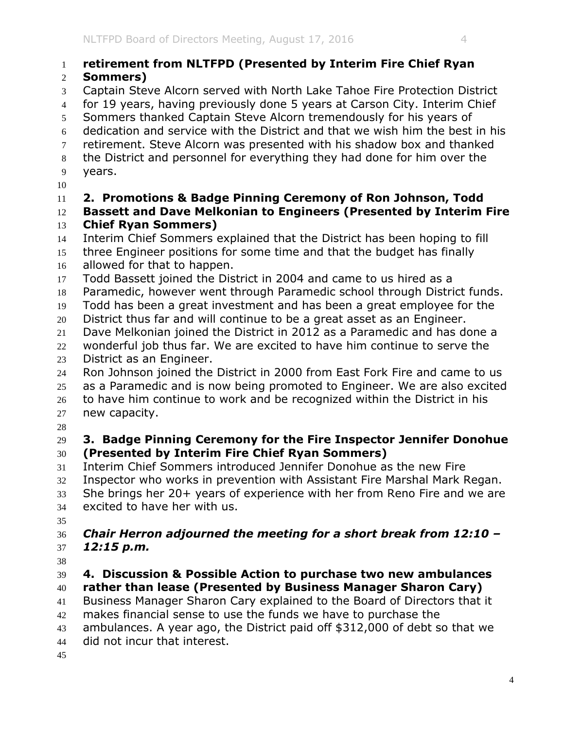# **retirement from NLTFPD (Presented by Interim Fire Chief Ryan**

### **Sommers)**

- Captain Steve Alcorn served with North Lake Tahoe Fire Protection District
- for 19 years, having previously done 5 years at Carson City. Interim Chief
- Sommers thanked Captain Steve Alcorn tremendously for his years of
- dedication and service with the District and that we wish him the best in his
- retirement. Steve Alcorn was presented with his shadow box and thanked
- the District and personnel for everything they had done for him over the
- years.
- 

## **2. Promotions & Badge Pinning Ceremony of Ron Johnson, Todd**

- **Bassett and Dave Melkonian to Engineers (Presented by Interim Fire Chief Ryan Sommers)**
- Interim Chief Sommers explained that the District has been hoping to fill
- three Engineer positions for some time and that the budget has finally allowed for that to happen.
- Todd Bassett joined the District in 2004 and came to us hired as a
- Paramedic, however went through Paramedic school through District funds.
- Todd has been a great investment and has been a great employee for the
- District thus far and will continue to be a great asset as an Engineer.
- Dave Melkonian joined the District in 2012 as a Paramedic and has done a
- wonderful job thus far. We are excited to have him continue to serve the District as an Engineer.
- Ron Johnson joined the District in 2000 from East Fork Fire and came to us as a Paramedic and is now being promoted to Engineer. We are also excited
- to have him continue to work and be recognized within the District in his new capacity.
- 

### **3. Badge Pinning Ceremony for the Fire Inspector Jennifer Donohue (Presented by Interim Fire Chief Ryan Sommers)**

- Interim Chief Sommers introduced Jennifer Donohue as the new Fire
- Inspector who works in prevention with Assistant Fire Marshal Mark Regan.
- She brings her 20+ years of experience with her from Reno Fire and we are
- excited to have her with us.
- 

### *Chair Herron adjourned the meeting for a short break from 12:10 – 12:15 p.m.*

### **4. Discussion & Possible Action to purchase two new ambulances rather than lease (Presented by Business Manager Sharon Cary)**

Business Manager Sharon Cary explained to the Board of Directors that it

makes financial sense to use the funds we have to purchase the

ambulances. A year ago, the District paid off \$312,000 of debt so that we

- did not incur that interest.
-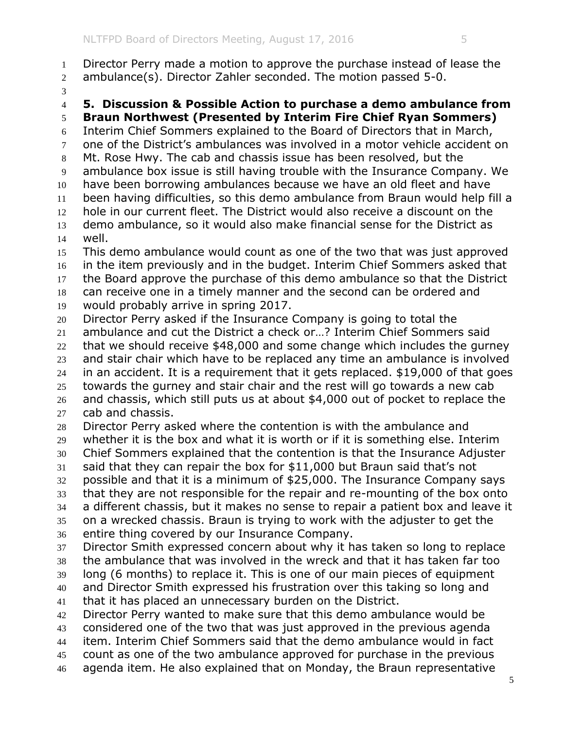Director Perry made a motion to approve the purchase instead of lease the ambulance(s). Director Zahler seconded. The motion passed 5-0. **5. Discussion & Possible Action to purchase a demo ambulance from Braun Northwest (Presented by Interim Fire Chief Ryan Sommers)** Interim Chief Sommers explained to the Board of Directors that in March, one of the District's ambulances was involved in a motor vehicle accident on Mt. Rose Hwy. The cab and chassis issue has been resolved, but the ambulance box issue is still having trouble with the Insurance Company. We have been borrowing ambulances because we have an old fleet and have been having difficulties, so this demo ambulance from Braun would help fill a hole in our current fleet. The District would also receive a discount on the demo ambulance, so it would also make financial sense for the District as well. This demo ambulance would count as one of the two that was just approved in the item previously and in the budget. Interim Chief Sommers asked that the Board approve the purchase of this demo ambulance so that the District can receive one in a timely manner and the second can be ordered and would probably arrive in spring 2017. Director Perry asked if the Insurance Company is going to total the ambulance and cut the District a check or…? Interim Chief Sommers said that we should receive \$48,000 and some change which includes the gurney and stair chair which have to be replaced any time an ambulance is involved in an accident. It is a requirement that it gets replaced. \$19,000 of that goes towards the gurney and stair chair and the rest will go towards a new cab and chassis, which still puts us at about \$4,000 out of pocket to replace the cab and chassis. Director Perry asked where the contention is with the ambulance and whether it is the box and what it is worth or if it is something else. Interim Chief Sommers explained that the contention is that the Insurance Adjuster said that they can repair the box for \$11,000 but Braun said that's not possible and that it is a minimum of \$25,000. The Insurance Company says that they are not responsible for the repair and re-mounting of the box onto a different chassis, but it makes no sense to repair a patient box and leave it on a wrecked chassis. Braun is trying to work with the adjuster to get the entire thing covered by our Insurance Company. Director Smith expressed concern about why it has taken so long to replace the ambulance that was involved in the wreck and that it has taken far too long (6 months) to replace it. This is one of our main pieces of equipment and Director Smith expressed his frustration over this taking so long and that it has placed an unnecessary burden on the District. Director Perry wanted to make sure that this demo ambulance would be considered one of the two that was just approved in the previous agenda item. Interim Chief Sommers said that the demo ambulance would in fact count as one of the two ambulance approved for purchase in the previous agenda item. He also explained that on Monday, the Braun representative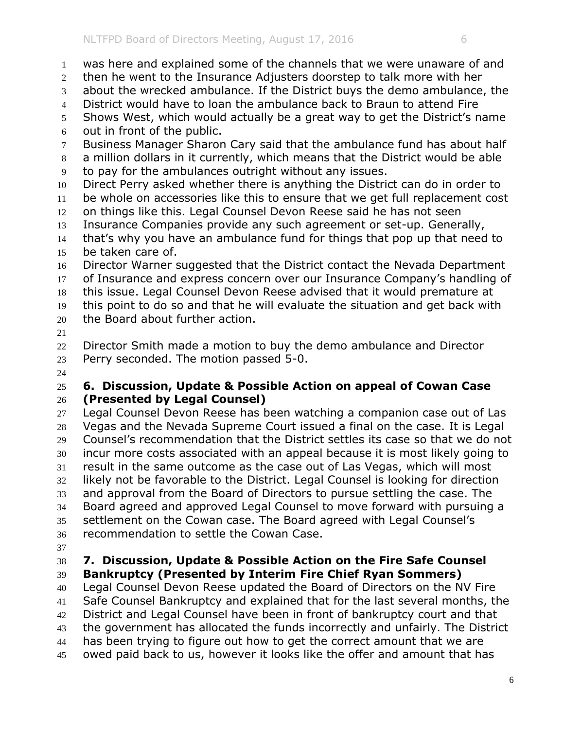out in front of the public.

 was here and explained some of the channels that we were unaware of and then he went to the Insurance Adjusters doorstep to talk more with her

about the wrecked ambulance. If the District buys the demo ambulance, the

Shows West, which would actually be a great way to get the District's name

Business Manager Sharon Cary said that the ambulance fund has about half

District would have to loan the ambulance back to Braun to attend Fire

 a million dollars in it currently, which means that the District would be able to pay for the ambulances outright without any issues. Direct Perry asked whether there is anything the District can do in order to be whole on accessories like this to ensure that we get full replacement cost on things like this. Legal Counsel Devon Reese said he has not seen Insurance Companies provide any such agreement or set-up. Generally, that's why you have an ambulance fund for things that pop up that need to be taken care of. Director Warner suggested that the District contact the Nevada Department of Insurance and express concern over our Insurance Company's handling of this issue. Legal Counsel Devon Reese advised that it would premature at this point to do so and that he will evaluate the situation and get back with the Board about further action. 22 Director Smith made a motion to buy the demo ambulance and Director Perry seconded. The motion passed 5-0. **6. Discussion, Update & Possible Action on appeal of Cowan Case (Presented by Legal Counsel)** 27 Legal Counsel Devon Reese has been watching a companion case out of Las Vegas and the Nevada Supreme Court issued a final on the case. It is Legal Counsel's recommendation that the District settles its case so that we do not incur more costs associated with an appeal because it is most likely going to result in the same outcome as the case out of Las Vegas, which will most likely not be favorable to the District. Legal Counsel is looking for direction and approval from the Board of Directors to pursue settling the case. The Board agreed and approved Legal Counsel to move forward with pursuing a settlement on the Cowan case. The Board agreed with Legal Counsel's recommendation to settle the Cowan Case. **7. Discussion, Update & Possible Action on the Fire Safe Counsel Bankruptcy (Presented by Interim Fire Chief Ryan Sommers)** Legal Counsel Devon Reese updated the Board of Directors on the NV Fire Safe Counsel Bankruptcy and explained that for the last several months, the District and Legal Counsel have been in front of bankruptcy court and that the government has allocated the funds incorrectly and unfairly. The District 44 has been trying to figure out how to get the correct amount that we are owed paid back to us, however it looks like the offer and amount that has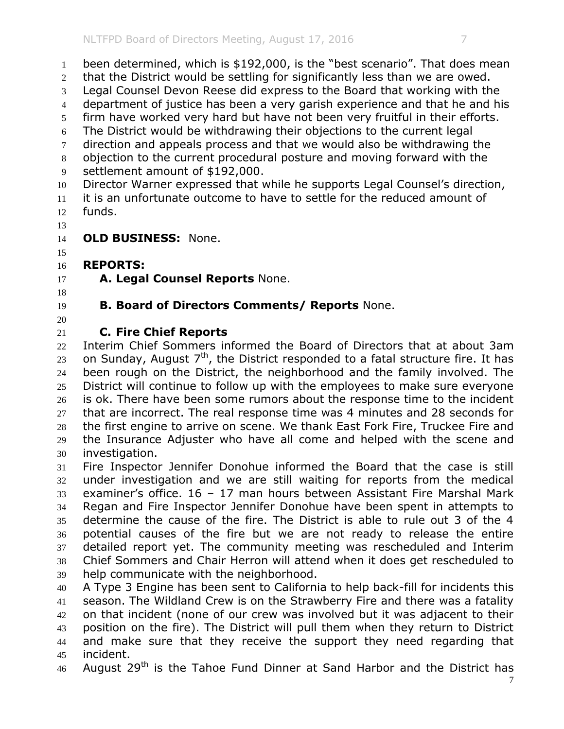been determined, which is \$192,000, is the "best scenario". That does mean that the District would be settling for significantly less than we are owed. Legal Counsel Devon Reese did express to the Board that working with the department of justice has been a very garish experience and that he and his firm have worked very hard but have not been very fruitful in their efforts. The District would be withdrawing their objections to the current legal 7 direction and appeals process and that we would also be withdrawing the objection to the current procedural posture and moving forward with the settlement amount of \$192,000. Director Warner expressed that while he supports Legal Counsel's direction, it is an unfortunate outcome to have to settle for the reduced amount of funds. **OLD BUSINESS:** None. **REPORTS: A. Legal Counsel Reports** None. **B. Board of Directors Comments/ Reports** None. **C. Fire Chief Reports** Interim Chief Sommers informed the Board of Directors that at about 3am on Sunday, August 7<sup>th</sup>, the District responded to a fatal structure fire. It has been rough on the District, the neighborhood and the family involved. The District will continue to follow up with the employees to make sure everyone is ok. There have been some rumors about the response time to the incident that are incorrect. The real response time was 4 minutes and 28 seconds for the first engine to arrive on scene. We thank East Fork Fire, Truckee Fire and the Insurance Adjuster who have all come and helped with the scene and investigation. Fire Inspector Jennifer Donohue informed the Board that the case is still under investigation and we are still waiting for reports from the medical examiner's office. 16 – 17 man hours between Assistant Fire Marshal Mark Regan and Fire Inspector Jennifer Donohue have been spent in attempts to determine the cause of the fire. The District is able to rule out 3 of the 4 potential causes of the fire but we are not ready to release the entire detailed report yet. The community meeting was rescheduled and Interim Chief Sommers and Chair Herron will attend when it does get rescheduled to help communicate with the neighborhood. A Type 3 Engine has been sent to California to help back-fill for incidents this season. The Wildland Crew is on the Strawberry Fire and there was a fatality

 on that incident (none of our crew was involved but it was adjacent to their position on the fire). The District will pull them when they return to District and make sure that they receive the support they need regarding that incident.

46 August 29<sup>th</sup> is the Tahoe Fund Dinner at Sand Harbor and the District has